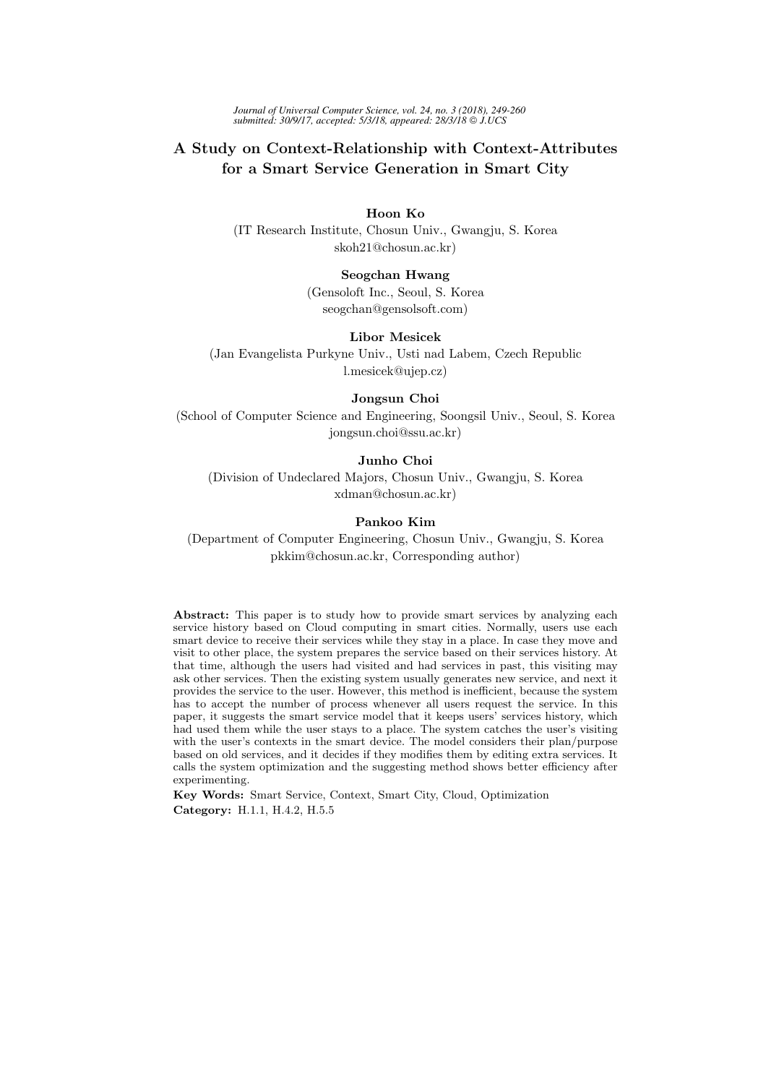*Journal of Universal Computer Science, vol. 24, no. 3 (2018), 249-260 submitted: 30/9/17, accepted: 5/3/18, appeared: 28/3/18 J.UCS*

# A Study on Context-Relationship with Context-Attributes for a Smart Service Generation in Smart City

# Hoon Ko

(IT Research Institute, Chosun Univ., Gwangju, S. Korea skoh21@chosun.ac.kr)

# Seogchan Hwang

(Gensoloft Inc., Seoul, S. Korea seogchan@gensolsoft.com)

# Libor Mesicek

(Jan Evangelista Purkyne Univ., Usti nad Labem, Czech Republic l.mesicek@ujep.cz)

#### Jongsun Choi

(School of Computer Science and Engineering, Soongsil Univ., Seoul, S. Korea jongsun.choi@ssu.ac.kr)

# Junho Choi

(Division of Undeclared Majors, Chosun Univ., Gwangju, S. Korea xdman@chosun.ac.kr)

#### Pankoo Kim

(Department of Computer Engineering, Chosun Univ., Gwangju, S. Korea pkkim@chosun.ac.kr, Corresponding author)

Abstract: This paper is to study how to provide smart services by analyzing each service history based on Cloud computing in smart cities. Normally, users use each smart device to receive their services while they stay in a place. In case they move and visit to other place, the system prepares the service based on their services history. At that time, although the users had visited and had services in past, this visiting may ask other services. Then the existing system usually generates new service, and next it provides the service to the user. However, this method is inefficient, because the system has to accept the number of process whenever all users request the service. In this paper, it suggests the smart service model that it keeps users' services history, which had used them while the user stays to a place. The system catches the user's visiting with the user's contexts in the smart device. The model considers their plan/purpose based on old services, and it decides if they modifies them by editing extra services. It calls the system optimization and the suggesting method shows better efficiency after experimenting.

Key Words: Smart Service, Context, Smart City, Cloud, Optimization Category: H.1.1, H.4.2, H.5.5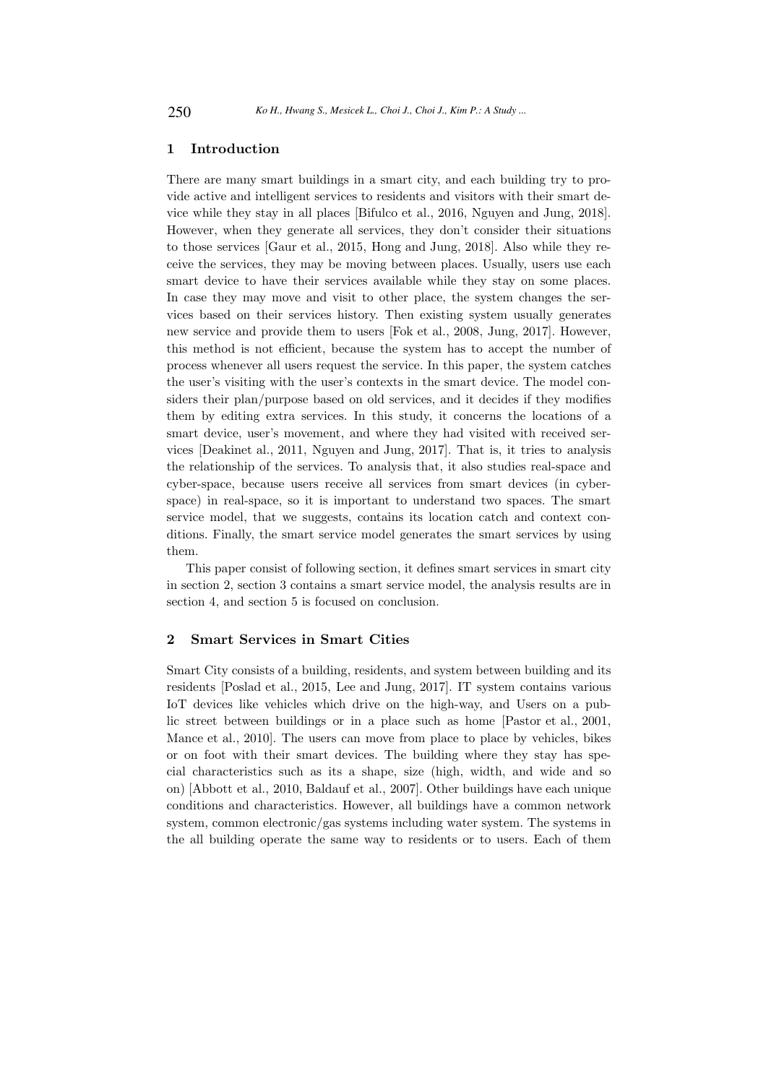# 1 Introduction

There are many smart buildings in a smart city, and each building try to provide active and intelligent services to residents and visitors with their smart device while they stay in all places [Bifulco et al., 2016, Nguyen and Jung, 2018]. However, when they generate all services, they don't consider their situations to those services [Gaur et al., 2015, Hong and Jung, 2018]. Also while they receive the services, they may be moving between places. Usually, users use each smart device to have their services available while they stay on some places. In case they may move and visit to other place, the system changes the services based on their services history. Then existing system usually generates new service and provide them to users [Fok et al., 2008, Jung, 2017]. However, this method is not efficient, because the system has to accept the number of process whenever all users request the service. In this paper, the system catches the user's visiting with the user's contexts in the smart device. The model considers their plan/purpose based on old services, and it decides if they modifies them by editing extra services. In this study, it concerns the locations of a smart device, user's movement, and where they had visited with received services [Deakinet al., 2011, Nguyen and Jung, 2017]. That is, it tries to analysis the relationship of the services. To analysis that, it also studies real-space and cyber-space, because users receive all services from smart devices (in cyberspace) in real-space, so it is important to understand two spaces. The smart service model, that we suggests, contains its location catch and context conditions. Finally, the smart service model generates the smart services by using them.

This paper consist of following section, it defines smart services in smart city in section 2, section 3 contains a smart service model, the analysis results are in section 4, and section 5 is focused on conclusion.

# 2 Smart Services in Smart Cities

Smart City consists of a building, residents, and system between building and its residents [Poslad et al., 2015, Lee and Jung, 2017]. IT system contains various IoT devices like vehicles which drive on the high-way, and Users on a public street between buildings or in a place such as home [Pastor et al., 2001, Mance et al., 2010]. The users can move from place to place by vehicles, bikes or on foot with their smart devices. The building where they stay has special characteristics such as its a shape, size (high, width, and wide and so on) [Abbott et al., 2010, Baldauf et al., 2007]. Other buildings have each unique conditions and characteristics. However, all buildings have a common network system, common electronic/gas systems including water system. The systems in the all building operate the same way to residents or to users. Each of them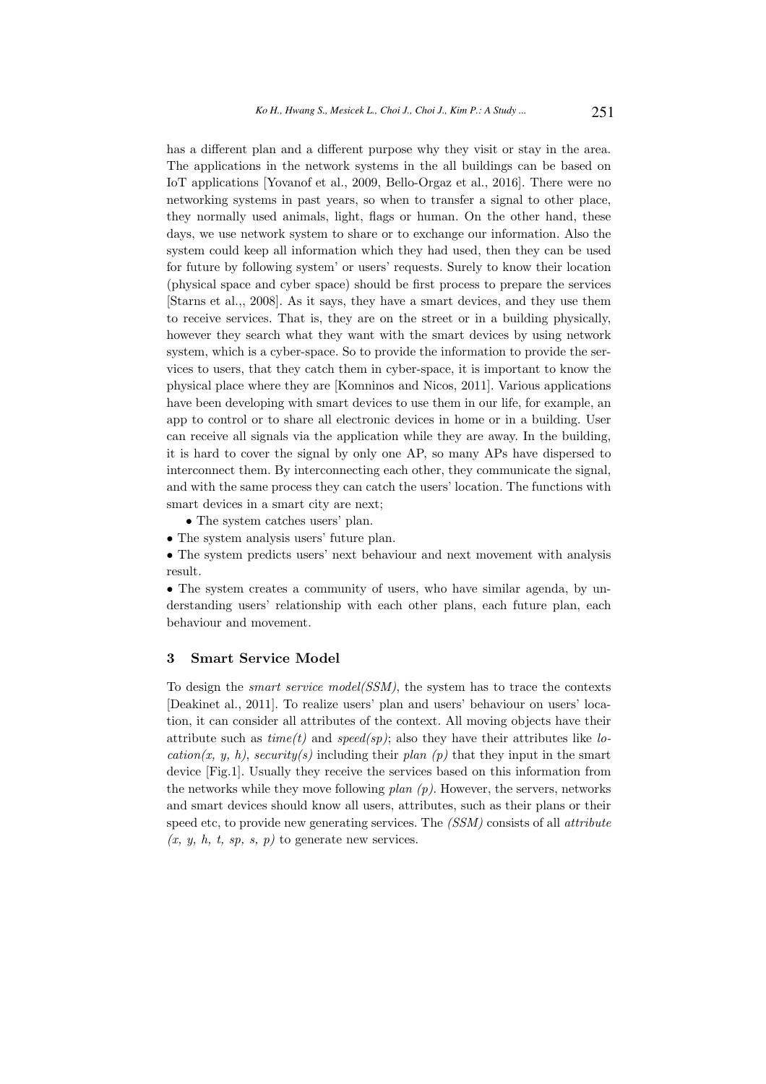has a different plan and a different purpose why they visit or stay in the area. The applications in the network systems in the all buildings can be based on IoT applications [Yovanof et al., 2009, Bello-Orgaz et al., 2016]. There were no networking systems in past years, so when to transfer a signal to other place, they normally used animals, light, flags or human. On the other hand, these days, we use network system to share or to exchange our information. Also the system could keep all information which they had used, then they can be used for future by following system' or users' requests. Surely to know their location (physical space and cyber space) should be first process to prepare the services [Starns et al.,, 2008]. As it says, they have a smart devices, and they use them to receive services. That is, they are on the street or in a building physically, however they search what they want with the smart devices by using network system, which is a cyber-space. So to provide the information to provide the services to users, that they catch them in cyber-space, it is important to know the physical place where they are [Komninos and Nicos, 2011]. Various applications have been developing with smart devices to use them in our life, for example, an app to control or to share all electronic devices in home or in a building. User can receive all signals via the application while they are away. In the building, it is hard to cover the signal by only one AP, so many APs have dispersed to interconnect them. By interconnecting each other, they communicate the signal, and with the same process they can catch the users' location. The functions with smart devices in a smart city are next;

• The system catches users' plan.

• The system analysis users' future plan.

• The system predicts users' next behaviour and next movement with analysis result.

• The system creates a community of users, who have similar agenda, by understanding users' relationship with each other plans, each future plan, each behaviour and movement.

# 3 Smart Service Model

To design the smart service model(SSM), the system has to trace the contexts [Deakinet al., 2011]. To realize users' plan and users' behaviour on users' location, it can consider all attributes of the context. All moving objects have their attribute such as  $time(t)$  and  $speed(sp)$ ; also they have their attributes like location(x, y, h), security(s) including their plan (p) that they input in the smart device [Fig.1]. Usually they receive the services based on this information from the networks while they move following  $plan(p)$ . However, the servers, networks and smart devices should know all users, attributes, such as their plans or their speed etc, to provide new generating services. The (SSM) consists of all *attribute*  $(x, y, h, t, sp, s, p)$  to generate new services.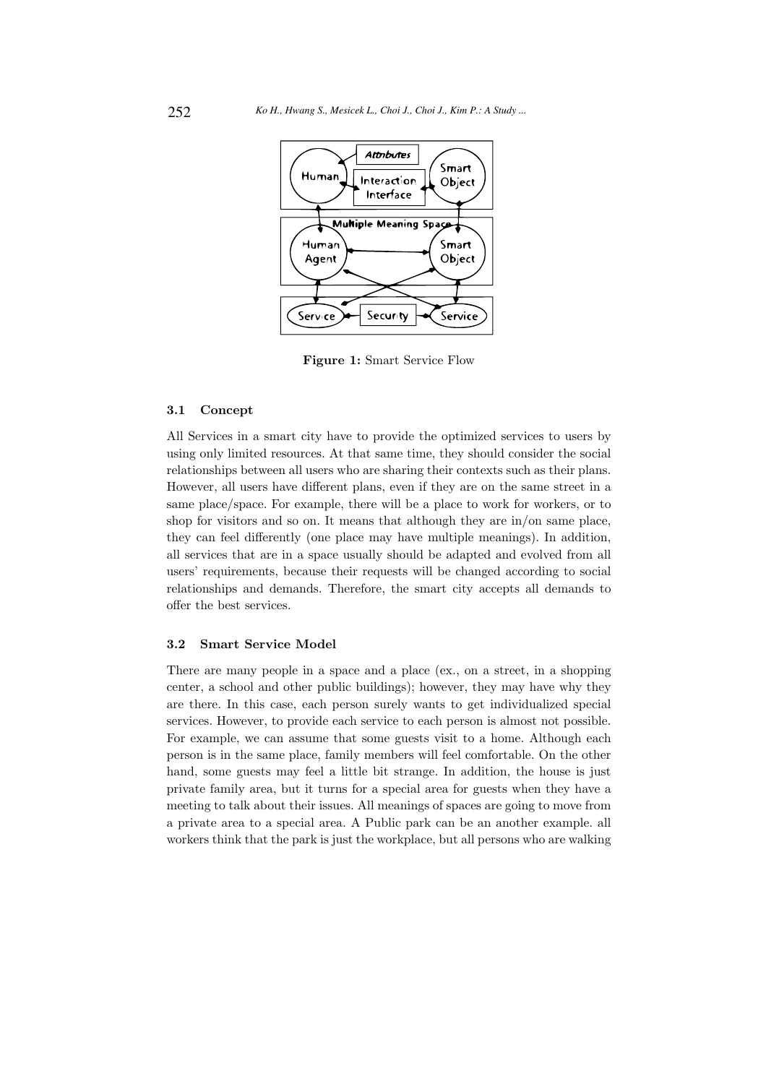

Figure 1: Smart Service Flow

#### 3.1 Concept

All Services in a smart city have to provide the optimized services to users by using only limited resources. At that same time, they should consider the social relationships between all users who are sharing their contexts such as their plans. However, all users have different plans, even if they are on the same street in a same place/space. For example, there will be a place to work for workers, or to shop for visitors and so on. It means that although they are in/on same place, they can feel differently (one place may have multiple meanings). In addition, all services that are in a space usually should be adapted and evolved from all users' requirements, because their requests will be changed according to social relationships and demands. Therefore, the smart city accepts all demands to offer the best services.

# 3.2 Smart Service Model

There are many people in a space and a place (ex., on a street, in a shopping center, a school and other public buildings); however, they may have why they are there. In this case, each person surely wants to get individualized special services. However, to provide each service to each person is almost not possible. For example, we can assume that some guests visit to a home. Although each person is in the same place, family members will feel comfortable. On the other hand, some guests may feel a little bit strange. In addition, the house is just private family area, but it turns for a special area for guests when they have a meeting to talk about their issues. All meanings of spaces are going to move from a private area to a special area. A Public park can be an another example. all workers think that the park is just the workplace, but all persons who are walking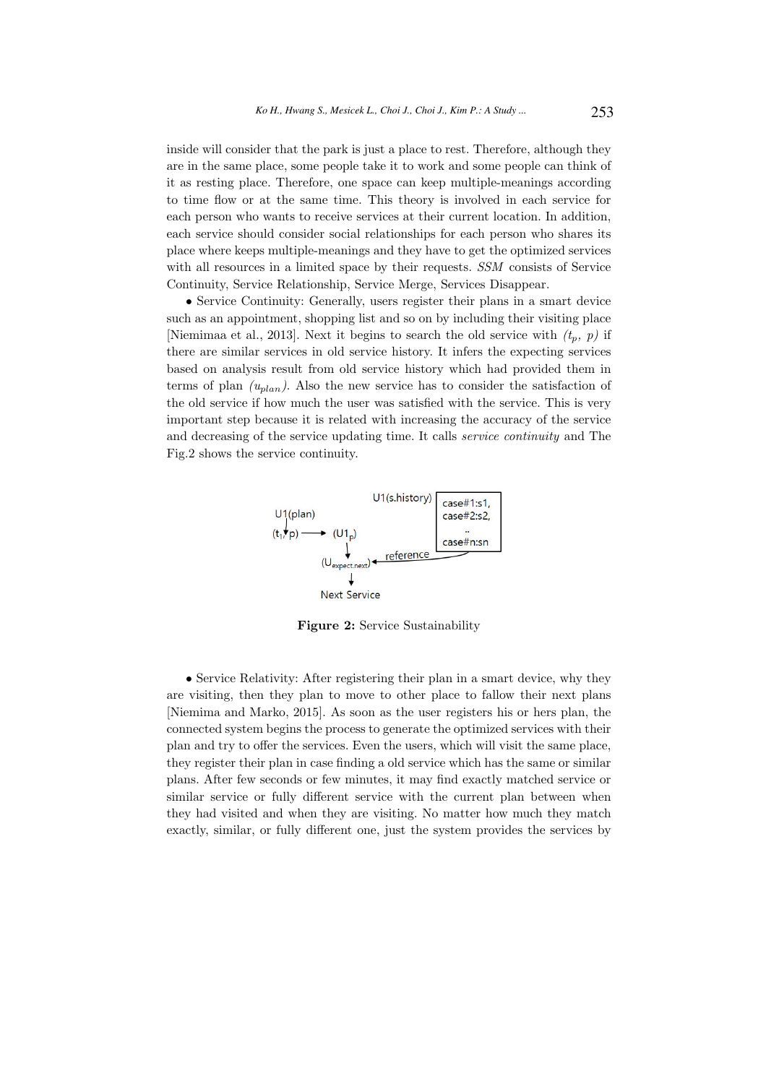inside will consider that the park is just a place to rest. Therefore, although they are in the same place, some people take it to work and some people can think of it as resting place. Therefore, one space can keep multiple-meanings according to time flow or at the same time. This theory is involved in each service for each person who wants to receive services at their current location. In addition, each service should consider social relationships for each person who shares its place where keeps multiple-meanings and they have to get the optimized services with all resources in a limited space by their requests. SSM consists of Service Continuity, Service Relationship, Service Merge, Services Disappear.

• Service Continuity: Generally, users register their plans in a smart device such as an appointment, shopping list and so on by including their visiting place [Niemimaa et al., 2013]. Next it begins to search the old service with  $(t_p, p)$  if there are similar services in old service history. It infers the expecting services based on analysis result from old service history which had provided them in terms of plan  $(u_{plan}$ ). Also the new service has to consider the satisfaction of the old service if how much the user was satisfied with the service. This is very important step because it is related with increasing the accuracy of the service and decreasing of the service updating time. It calls service continuity and The Fig.2 shows the service continuity.



Figure 2: Service Sustainability

• Service Relativity: After registering their plan in a smart device, why they are visiting, then they plan to move to other place to fallow their next plans [Niemima and Marko, 2015]. As soon as the user registers his or hers plan, the connected system begins the process to generate the optimized services with their plan and try to offer the services. Even the users, which will visit the same place, they register their plan in case finding a old service which has the same or similar plans. After few seconds or few minutes, it may find exactly matched service or similar service or fully different service with the current plan between when they had visited and when they are visiting. No matter how much they match exactly, similar, or fully different one, just the system provides the services by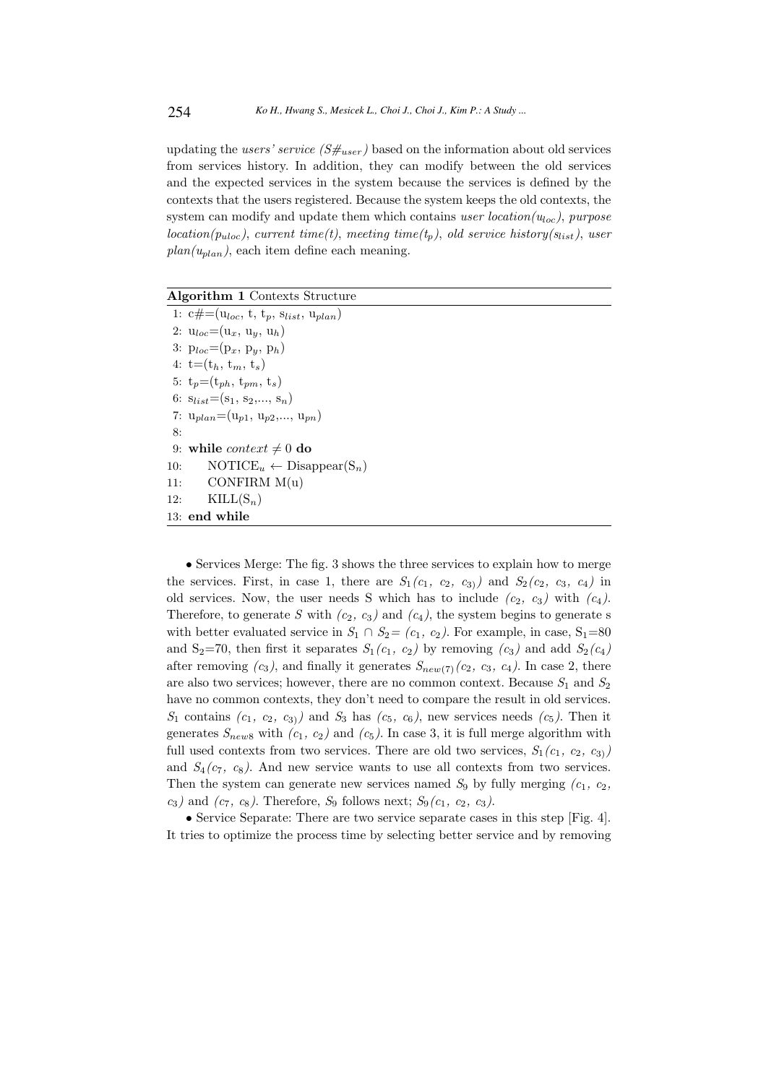updating the users' service  $(S\#_{user})$  based on the information about old services from services history. In addition, they can modify between the old services and the expected services in the system because the services is defined by the contexts that the users registered. Because the system keeps the old contexts, the system can modify and update them which contains user location( $u_{loc}$ ), purpose  $location(p_{uloc})$ , current time(t), meeting time(t<sub>n</sub>), old service history(s<sub>list</sub>), user  $plan(u<sub>plan</sub>)$ , each item define each meaning.

Algorithm 1 Contexts Structure

1:  $c\#=(u_{loc}, t, t_p, s_{list}, u_{plan})$ 2:  $u_{loc}=(u_x, u_y, u_h)$ 3:  $p_{loc}=(p_x, p_y, p_h)$ 4:  $t=(t_h, t_m, t_s)$ 5:  $t_p=(t_{ph}, t_{pm}, t_s)$ 6:  $s_{list} = (s_1, s_2, \ldots, s_n)$ 7:  $u_{plan}=(u_{p1}, u_{p2},..., u_{pn})$ 8: 9: while *context*  $\neq 0$  do 10:  $\text{NOTICE}_{u} \leftarrow \text{Disappear}(S_n)$ 11: CONFIRM  $M(u)$ 12:  $\text{KILL}(\mathbf{S}_n)$ 13: end while

• Services Merge: The fig. 3 shows the three services to explain how to merge the services. First, in case 1, there are  $S_1(c_1, c_2, c_3)$  and  $S_2(c_2, c_3, c_4)$  in old services. Now, the user needs S which has to include  $(c_2, c_3)$  with  $(c_4)$ . Therefore, to generate S with  $(c_2, c_3)$  and  $(c_4)$ , the system begins to generate s with better evaluated service in  $S_1 \cap S_2 = (c_1, c_2)$ . For example, in case,  $S_1=80$ and S<sub>2</sub>=70, then first it separates  $S_1(c_1, c_2)$  by removing  $(c_3)$  and add  $S_2(c_4)$ after removing  $(c_3)$ , and finally it generates  $S_{new(7)}(c_2, c_3, c_4)$ . In case 2, there are also two services; however, there are no common context. Because  $S_1$  and  $S_2$ have no common contexts, they don't need to compare the result in old services.  $S_1$  contains  $(c_1, c_2, c_3)$  and  $S_3$  has  $(c_5, c_6)$ , new services needs  $(c_5)$ . Then it generates  $S_{new8}$  with  $(c_1, c_2)$  and  $(c_5)$ . In case 3, it is full merge algorithm with full used contexts from two services. There are old two services,  $S_1(c_1, c_2, c_3)$ and  $S_4(c_7, c_8)$ . And new service wants to use all contexts from two services. Then the system can generate new services named  $S_9$  by fully merging  $(c_1, c_2,$  $c_3$ ) and  $(c_7, c_8)$ . Therefore,  $S_9$  follows next;  $S_9(c_1, c_2, c_3)$ .

• Service Separate: There are two service separate cases in this step [Fig. 4]. It tries to optimize the process time by selecting better service and by removing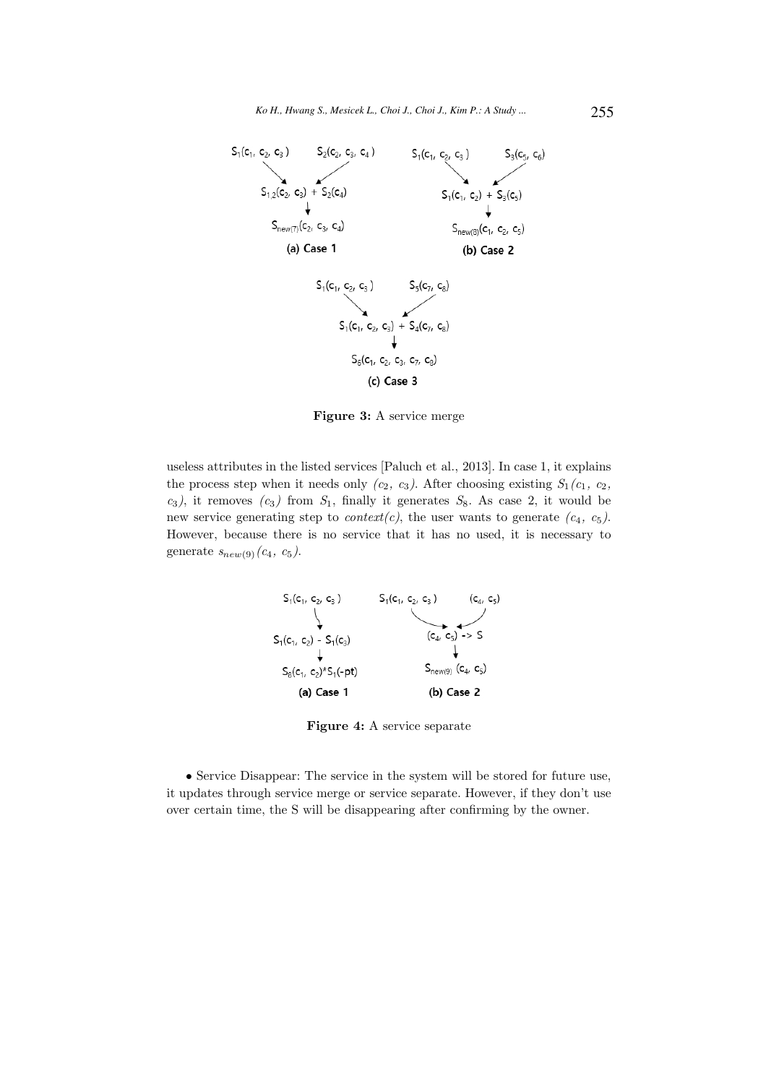

Figure 3: A service merge

useless attributes in the listed services [Paluch et al., 2013]. In case 1, it explains the process step when it needs only  $(c_2, c_3)$ . After choosing existing  $S_1(c_1, c_2,$  $c_3$ ), it removes  $(c_3)$  from  $S_1$ , finally it generates  $S_8$ . As case 2, it would be new service generating step to *context(c)*, the user wants to generate  $(c_4, c_5)$ . However, because there is no service that it has no used, it is necessary to generate  $s_{new(9)}(c_4, c_5)$ .



Figure 4: A service separate

• Service Disappear: The service in the system will be stored for future use, it updates through service merge or service separate. However, if they don't use over certain time, the S will be disappearing after confirming by the owner.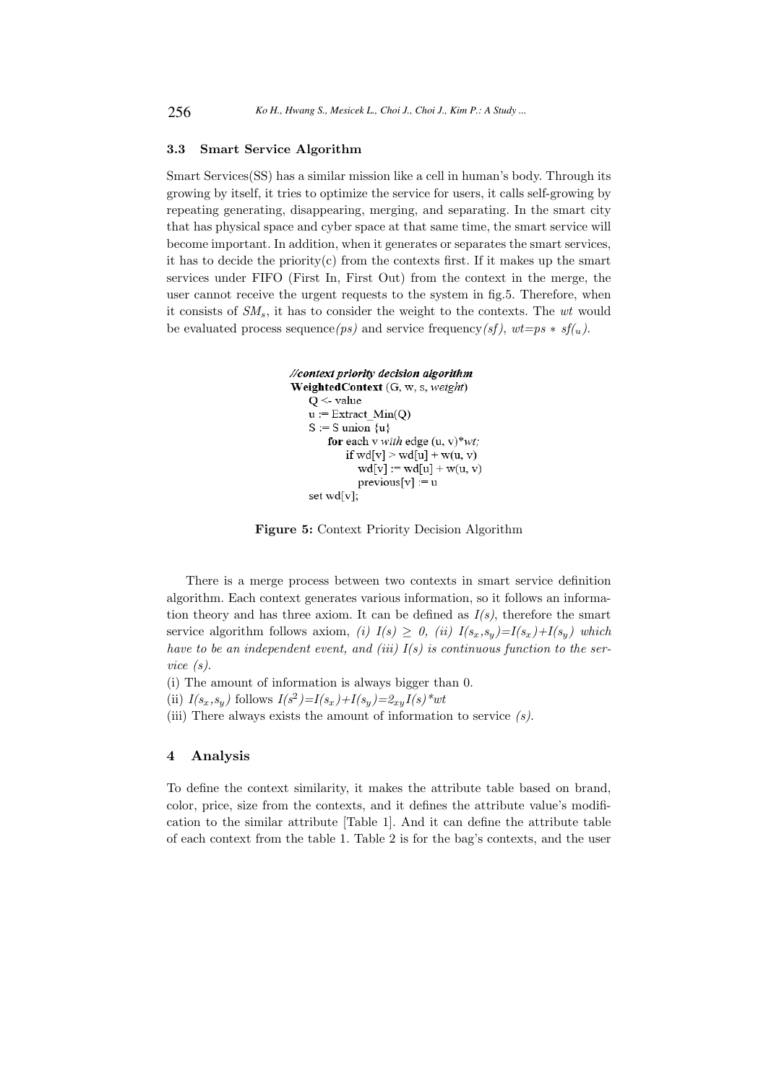#### 3.3 Smart Service Algorithm

Smart Services(SS) has a similar mission like a cell in human's body. Through its growing by itself, it tries to optimize the service for users, it calls self-growing by repeating generating, disappearing, merging, and separating. In the smart city that has physical space and cyber space at that same time, the smart service will become important. In addition, when it generates or separates the smart services, it has to decide the priority $(c)$  from the contexts first. If it makes up the smart services under FIFO (First In, First Out) from the context in the merge, the user cannot receive the urgent requests to the system in fig.5. Therefore, when it consists of  $SM_s$ , it has to consider the weight to the contexts. The  $wt$  would be evaluated process sequence(ps) and service frequency(sf),  $wt=ps * sf(u)$ .

```
//context priority decision algorithm
WeightedContext (G, w, s, weight)
   Q \leq-value
   u := Extract_Min(Q)
   S := S union \{u\}for each v with edge (u, v)*wt;
           if wd[v] > wd[u] + w(u, v)wd[v] := wd[u] + w(u, v)previously := u
   set wd[v];
```
Figure 5: Context Priority Decision Algorithm

There is a merge process between two contexts in smart service definition algorithm. Each context generates various information, so it follows an information theory and has three axiom. It can be defined as  $I(s)$ , therefore the smart service algorithm follows axiom, (i)  $I(s) \geq 0$ , (ii)  $I(s_x, s_y) = I(s_x) + I(s_y)$  which have to be an independent event, and (iii)  $I(s)$  is continuous function to the service (s).

- (i) The amount of information is always bigger than 0.
- (ii)  $I(s_x, s_y)$  follows  $I(s^2) = I(s_x) + I(s_y) = \mathcal{Z}_{xy}I(s)^*wt$
- (iii) There always exists the amount of information to service  $(s)$ .

# 4 Analysis

To define the context similarity, it makes the attribute table based on brand, color, price, size from the contexts, and it defines the attribute value's modification to the similar attribute [Table 1]. And it can define the attribute table of each context from the table 1. Table 2 is for the bag's contexts, and the user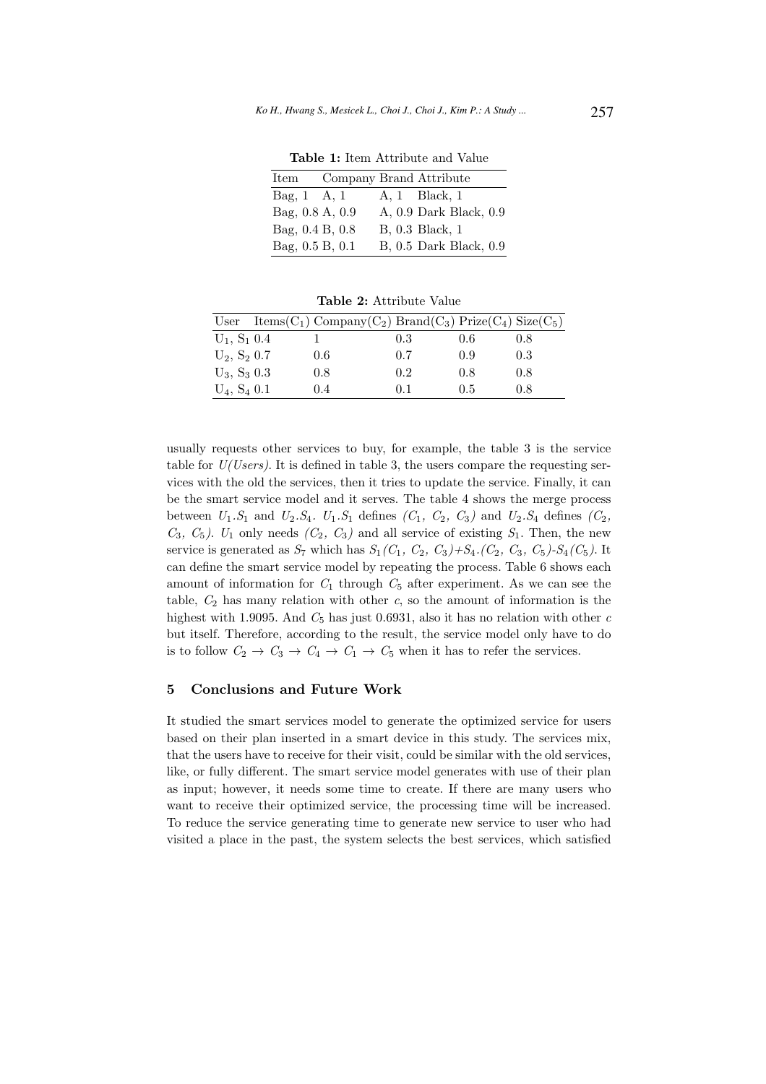Table 1: Item Attribute and Value

| Item            |  | Company Brand Attribute |
|-----------------|--|-------------------------|
| Bag, 1 A, 1     |  | A. 1 Black, 1           |
| Bag, 0.8 A, 0.9 |  | A, 0.9 Dark Black, 0.9  |
| Bag, 0.4 B, 0.8 |  | B, 0.3 Black, 1         |
| Bag, 0.5 B, 0.1 |  | B, 0.5 Dark Black, 0.9  |

|                   | User Items(C <sub>1</sub> ) Company(C <sub>2</sub> ) Brand(C <sub>3</sub> ) Prize(C <sub>4</sub> ) Size(C <sub>5</sub> ) |     |     |     |
|-------------------|--------------------------------------------------------------------------------------------------------------------------|-----|-----|-----|
| $U_1, S_1, 0.4$   |                                                                                                                          | 0.3 | 0.6 | 0.8 |
| $U_2$ , $S_2$ 0.7 | 0.6                                                                                                                      | 0.7 | 0.9 | 0.3 |
| $U_3$ , $S_3$ 0.3 | 0.8                                                                                                                      | 0.2 | 0.8 | 0.8 |
| $U_4$ , $S_4$ 0.1 | 0.4                                                                                                                      | 0.1 | 0.5 | 0.8 |

Table 2: Attribute Value

usually requests other services to buy, for example, the table 3 is the service table for  $U(Users)$ . It is defined in table 3, the users compare the requesting services with the old the services, then it tries to update the service. Finally, it can be the smart service model and it serves. The table 4 shows the merge process between  $U_1.S_1$  and  $U_2.S_4$ .  $U_1.S_1$  defines  $(C_1, C_2, C_3)$  and  $U_2.S_4$  defines  $(C_2, C_3)$  $C_3$ ,  $C_5$ ).  $U_1$  only needs  $(C_2, C_3)$  and all service of existing  $S_1$ . Then, the new service is generated as  $S_7$  which has  $S_1(C_1, C_2, C_3)+S_4(C_2, C_3, C_5)-S_4(C_5)$ . It can define the smart service model by repeating the process. Table 6 shows each amount of information for  $C_1$  through  $C_5$  after experiment. As we can see the table,  $C_2$  has many relation with other c, so the amount of information is the highest with 1.9095. And  $C_5$  has just 0.6931, also it has no relation with other c but itself. Therefore, according to the result, the service model only have to do is to follow  $C_2 \rightarrow C_3 \rightarrow C_4 \rightarrow C_1 \rightarrow C_5$  when it has to refer the services.

# 5 Conclusions and Future Work

It studied the smart services model to generate the optimized service for users based on their plan inserted in a smart device in this study. The services mix, that the users have to receive for their visit, could be similar with the old services, like, or fully different. The smart service model generates with use of their plan as input; however, it needs some time to create. If there are many users who want to receive their optimized service, the processing time will be increased. To reduce the service generating time to generate new service to user who had visited a place in the past, the system selects the best services, which satisfied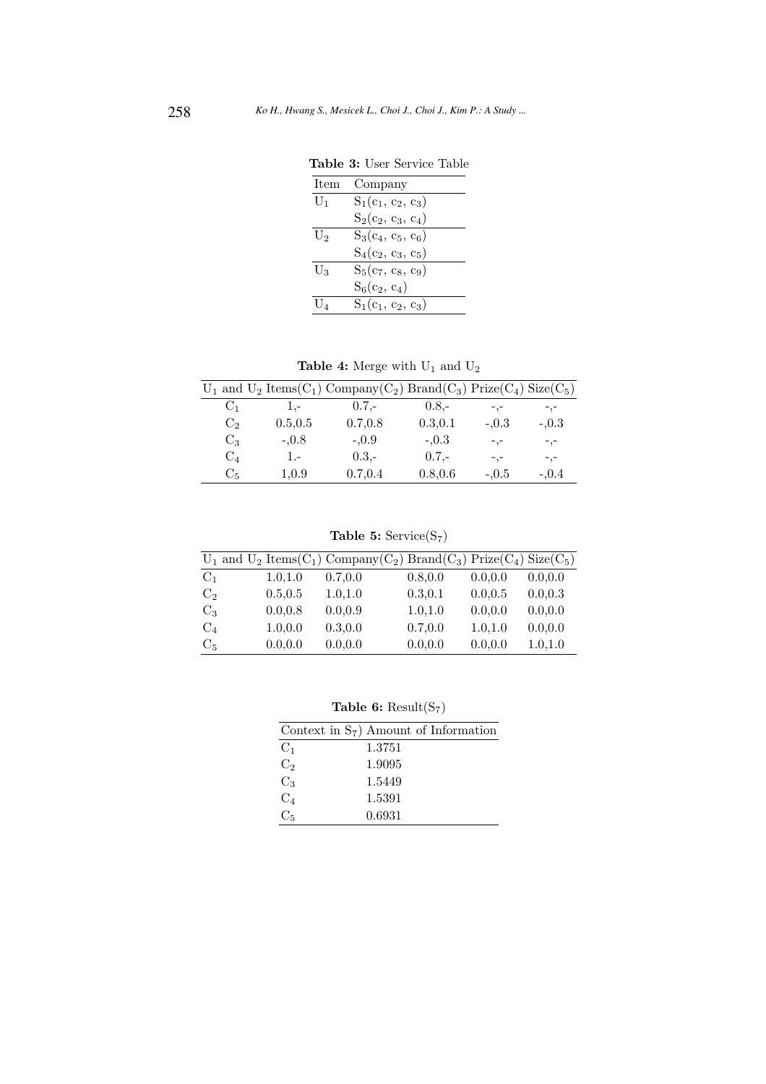| Item           | Company              |
|----------------|----------------------|
| $U_1$          | $S_1(c_1, c_2, c_3)$ |
|                | $S_2(c_2, c_3, c_4)$ |
| U <sub>2</sub> | $S_3(c_4, c_5, c_6)$ |
|                | $S_4(c_2, c_3, c_5)$ |
| $U_3$          | $S_5(c_7, c_8, c_9)$ |
|                | $S_6(c_2, c_4)$      |
| $U_{4}$        | $S_1(c_1, c_2, c_3)$ |
|                |                      |

Table 3: User Service Table

 $\bf Table~4\colon \text{Merge with } U_1$  and  $U_2$ 

|                |          | $U_1$ and $U_2$ Items(C <sub>1</sub> ) Company(C <sub>2</sub> ) Brand(C <sub>3</sub> ) Prize(C <sub>4</sub> ) Size(C <sub>5</sub> ) |          |         |         |
|----------------|----------|-------------------------------------------------------------------------------------------------------------------------------------|----------|---------|---------|
| $C_1$          | $1. -$   | $0.7 -$                                                                                                                             | $0.8 -$  | $-1, -$ | $-,-$   |
| C <sub>2</sub> | 0.5, 0.5 | 0.7,0.8                                                                                                                             | 0.3.0.1  | $-.0.3$ | $-.0.3$ |
| $C_3$          | $-.0.8$  | $-.0.9$                                                                                                                             | $-.0.3$  | $-,-$   | $-,-$   |
| $C_4$          | 1.-      | $0.3,-$                                                                                                                             | $0.7 -$  | $-,-$   | $-,-$   |
| C <sub>5</sub> | 1,0.9    | 0.7, 0.4                                                                                                                            | 0.8, 0.6 | $-.0.5$ | $-.0.4$ |

Table 5: Service $(S_7)$ 

|                |          | $U_1$ and $U_2$ Items(C <sub>1</sub> ) Company(C <sub>2</sub> ) Brand(C <sub>3</sub> ) Prize(C <sub>4</sub> ) Size(C <sub>5</sub> ) |          |          |          |
|----------------|----------|-------------------------------------------------------------------------------------------------------------------------------------|----------|----------|----------|
| $C_1$          | 1.0, 1.0 | 0.7, 0.0                                                                                                                            | 0.8, 0.0 | 0.0.0.0  | 0.0.0.0  |
| C <sub>2</sub> | 0.5.0.5  | 1.0.1.0                                                                                                                             | 0.3.0.1  | 0.0.0.5  | 0.0, 0.3 |
| $C_3$          | 0.0.0.8  | 0.0.0.9                                                                                                                             | 1.0.1.0  | 0.0.0.0  | 0.0, 0.0 |
| $C_4$          | 1.0, 0.0 | 0.3, 0.0                                                                                                                            | 0.7, 0.0 | 1.0, 1.0 | 0.0, 0.0 |
| C <sub>5</sub> | 0.0.0.0  | 0.0.0.0                                                                                                                             | 0.0.0.0  | 0.0, 0.0 | 1.0, 1.0 |

Table 6:  $\operatorname{Result}(\mathrm{S}_7)$ 

|                | Context in $S_7$ ) Amount of Information |
|----------------|------------------------------------------|
| C <sub>1</sub> | 1.3751                                   |
| C <sub>2</sub> | 1.9095                                   |
| $C_3$          | 1.5449                                   |
| $C_4$          | 1.5391                                   |
| $C_{\kappa}$   | 0.6931                                   |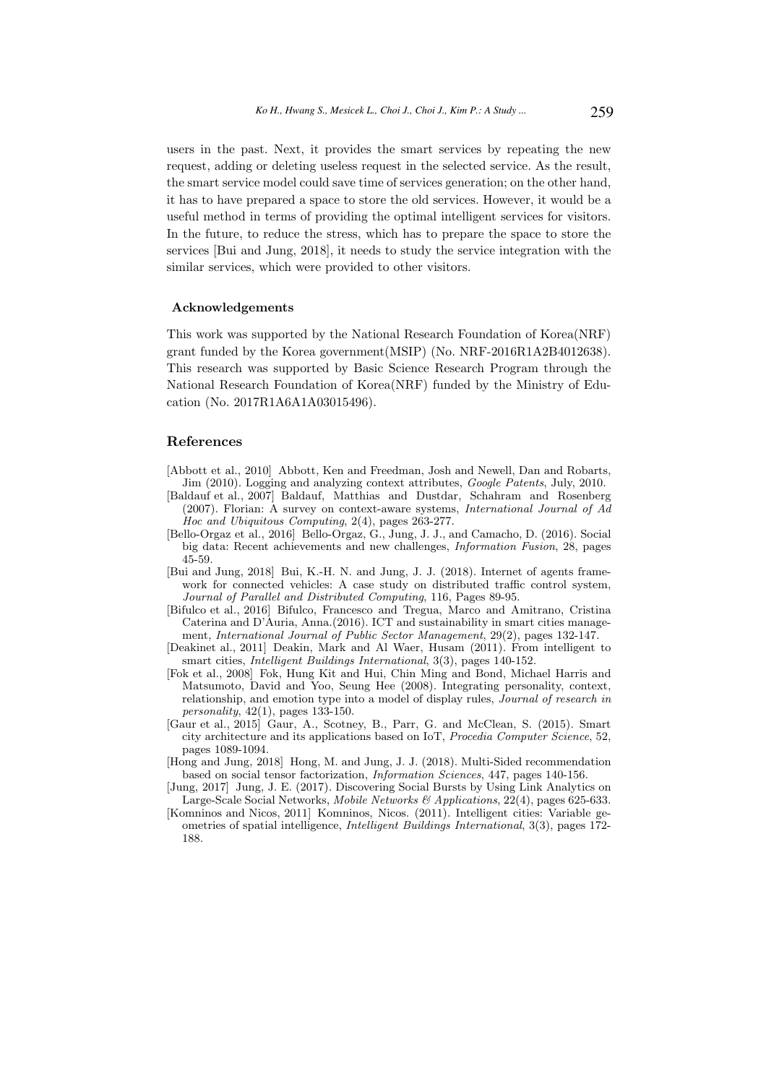users in the past. Next, it provides the smart services by repeating the new request, adding or deleting useless request in the selected service. As the result, the smart service model could save time of services generation; on the other hand, it has to have prepared a space to store the old services. However, it would be a useful method in terms of providing the optimal intelligent services for visitors. In the future, to reduce the stress, which has to prepare the space to store the services [Bui and Jung, 2018], it needs to study the service integration with the similar services, which were provided to other visitors.

# Acknowledgements

This work was supported by the National Research Foundation of Korea(NRF) grant funded by the Korea government(MSIP) (No. NRF-2016R1A2B4012638). This research was supported by Basic Science Research Program through the National Research Foundation of Korea(NRF) funded by the Ministry of Education (No. 2017R1A6A1A03015496).

# References

- [Abbott et al., 2010] Abbott, Ken and Freedman, Josh and Newell, Dan and Robarts, Jim (2010). Logging and analyzing context attributes, Google Patents, July, 2010.
- [Baldauf et al., 2007] Baldauf, Matthias and Dustdar, Schahram and Rosenberg (2007). Florian: A survey on context-aware systems, International Journal of Ad Hoc and Ubiquitous Computing, 2(4), pages 263-277.
- [Bello-Orgaz et al., 2016] Bello-Orgaz, G., Jung, J. J., and Camacho, D. (2016). Social big data: Recent achievements and new challenges, Information Fusion, 28, pages 45-59.
- [Bui and Jung, 2018] Bui, K.-H. N. and Jung, J. J. (2018). Internet of agents framework for connected vehicles: A case study on distributed traffic control system, Journal of Parallel and Distributed Computing, 116, Pages 89-95.
- [Bifulco et al., 2016] Bifulco, Francesco and Tregua, Marco and Amitrano, Cristina Caterina and D'Auria, Anna.(2016). ICT and sustainability in smart cities management, International Journal of Public Sector Management, 29(2), pages 132-147.
- [Deakinet al., 2011] Deakin, Mark and Al Waer, Husam (2011). From intelligent to smart cities, Intelligent Buildings International, 3(3), pages 140-152.
- [Fok et al., 2008] Fok, Hung Kit and Hui, Chin Ming and Bond, Michael Harris and Matsumoto, David and Yoo, Seung Hee (2008). Integrating personality, context, relationship, and emotion type into a model of display rules, Journal of research in  $personality, 42(1), pages 133-150.$
- [Gaur et al., 2015] Gaur, A., Scotney, B., Parr, G. and McClean, S. (2015). Smart city architecture and its applications based on IoT, Procedia Computer Science, 52, pages 1089-1094.
- [Hong and Jung, 2018] Hong, M. and Jung, J. J. (2018). Multi-Sided recommendation based on social tensor factorization, Information Sciences, 447, pages 140-156.
- [Jung, 2017] Jung, J. E. (2017). Discovering Social Bursts by Using Link Analytics on Large-Scale Social Networks, Mobile Networks & Applications, 22(4), pages 625-633.
- [Komninos and Nicos, 2011] Komninos, Nicos. (2011). Intelligent cities: Variable geometries of spatial intelligence, Intelligent Buildings International, 3(3), pages 172- 188.